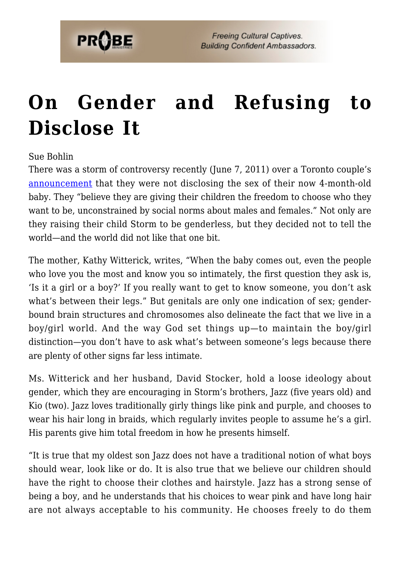

## **[On Gender and Refusing to](https://probe.org/on-gender-and-refusing-to-disclose-it/) [Disclose It](https://probe.org/on-gender-and-refusing-to-disclose-it/)**

Sue Bohlin

There was a storm of controversy recently (June 7, 2011) over a Toronto couple's [announcement](http://www.parentcentral.ca/parent/babiespregnancy/babies/article/995112--parents-keep-child-s-gender-secret) that they were not disclosing the sex of their now 4-month-old baby. They "believe they are giving their children the freedom to choose who they want to be, unconstrained by social norms about males and females." Not only are they raising their child Storm to be genderless, but they decided not to tell the world—and the world did not like that one bit.

The mother, Kathy Witterick, writes, "When the baby comes out, even the people who love you the most and know you so intimately, the first question they ask is, 'Is it a girl or a boy?' If you really want to get to know someone, you don't ask what's between their legs." But genitals are only one indication of sex; genderbound brain structures and chromosomes also delineate the fact that we live in a boy/girl world. And the way God set things up—to maintain the boy/girl distinction—you don't have to ask what's between someone's legs because there are plenty of other signs far less intimate.

Ms. Witterick and her husband, David Stocker, hold a loose ideology about gender, which they are encouraging in Storm's brothers, Jazz (five years old) and Kio (two). Jazz loves traditionally girly things like pink and purple, and chooses to wear his hair long in braids, which regularly invites people to assume he's a girl. His parents give him total freedom in how he presents himself.

"It is true that my oldest son Jazz does not have a traditional notion of what boys should wear, look like or do. It is also true that we believe our children should have the right to choose their clothes and hairstyle. Jazz has a strong sense of being a boy, and he understands that his choices to wear pink and have long hair are not always acceptable to his community. He chooses freely to do them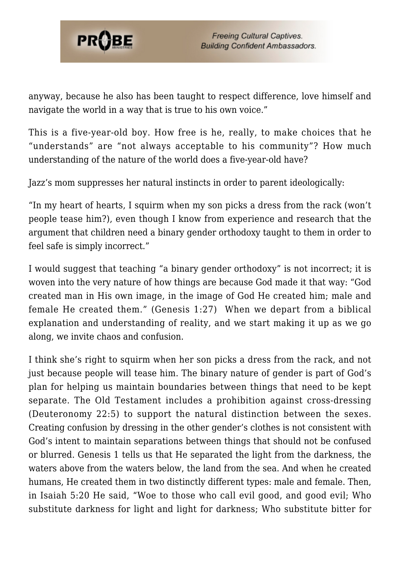

anyway, because he also has been taught to respect difference, love himself and navigate the world in a way that is true to his own voice."

This is a five-year-old boy. How free is he, really, to make choices that he "understands" are "not always acceptable to his community"? How much understanding of the nature of the world does a five-year-old have?

Jazz's mom suppresses her natural instincts in order to parent ideologically:

"In my heart of hearts, I squirm when my son picks a dress from the rack (won't people tease him?), even though I know from experience and research that the argument that children need a binary gender orthodoxy taught to them in order to feel safe is simply incorrect."

I would suggest that teaching "a binary gender orthodoxy" is not incorrect; it is woven into the very nature of how things are because God made it that way: "God created man in His own image, in the image of God He created him; male and female He created them." (Genesis 1:27) When we depart from a biblical explanation and understanding of reality, and we start making it up as we go along, we invite chaos and confusion.

I think she's right to squirm when her son picks a dress from the rack, and not just because people will tease him. The binary nature of gender is part of God's plan for helping us maintain boundaries between things that need to be kept separate. The Old Testament includes a prohibition against cross-dressing (Deuteronomy 22:5) to support the natural distinction between the sexes. Creating confusion by dressing in the other gender's clothes is not consistent with God's intent to maintain separations between things that should not be confused or blurred. Genesis 1 tells us that He separated the light from the darkness, the waters above from the waters below, the land from the sea. And when he created humans, He created them in two distinctly different types: male and female. Then, in Isaiah 5:20 He said, "Woe to those who call evil good, and good evil; Who substitute darkness for light and light for darkness; Who substitute bitter for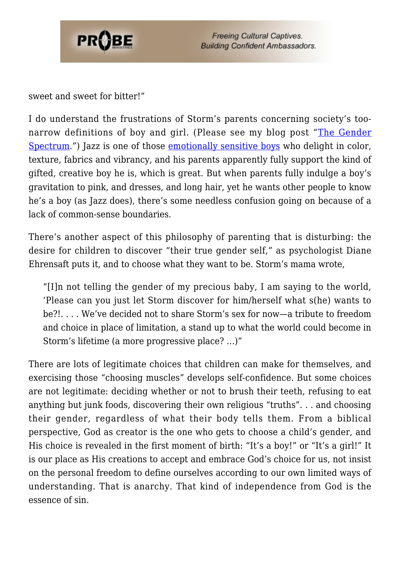

sweet and sweet for bitter!"

I do understand the frustrations of Storm's parents concerning society's toonarrow definitions of boy and girl. (Please see my blog post "[The Gender](http://www.probe.org/site/c.fdKEIMNsEoG/b.6479141/k.F4D8/The_Gender_Spectrum.htm) [Spectrum.](http://www.probe.org/site/c.fdKEIMNsEoG/b.6479141/k.F4D8/The_Gender_Spectrum.htm)") Jazz is one of those [emotionally sensitive boys](http://livehope.org/resource/parenting-the-sensitive-soul/) who delight in color, texture, fabrics and vibrancy, and his parents apparently fully support the kind of gifted, creative boy he is, which is great. But when parents fully indulge a boy's gravitation to pink, and dresses, and long hair, yet he wants other people to know he's a boy (as Jazz does), there's some needless confusion going on because of a lack of common-sense boundaries.

There's another aspect of this philosophy of parenting that is disturbing: the desire for children to discover "their true gender self," as psychologist Diane Ehrensaft puts it, and to choose what they want to be. Storm's mama wrote,

"[I]n not telling the gender of my precious baby, I am saying to the world, 'Please can you just let Storm discover for him/herself what s(he) wants to be?!. . . . We've decided not to share Storm's sex for now—a tribute to freedom and choice in place of limitation, a stand up to what the world could become in Storm's lifetime (a more progressive place? …)"

There are lots of legitimate choices that children can make for themselves, and exercising those "choosing muscles" develops self-confidence. But some choices are not legitimate: deciding whether or not to brush their teeth, refusing to eat anything but junk foods, discovering their own religious "truths". . . and choosing their gender, regardless of what their body tells them. From a biblical perspective, God as creator is the one who gets to choose a child's gender, and His choice is revealed in the first moment of birth: "It's a boy!" or "It's a girl!" It is our place as His creations to accept and embrace God's choice for us, not insist on the personal freedom to define ourselves according to our own limited ways of understanding. That is anarchy. That kind of independence from God is the essence of sin.